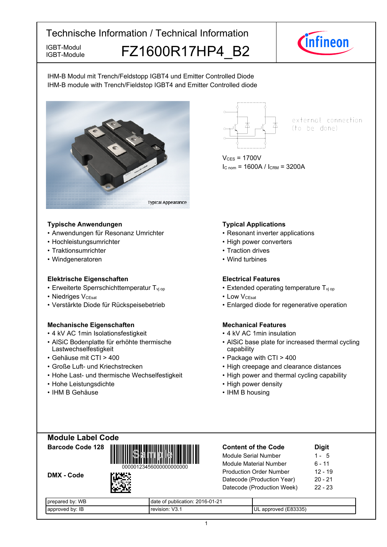IGBT-Module

# IGBT-Module FZ1600R17HP4 B2



IHM-B Modul mit Trench/Feldstopp IGBT4 und Emitter Controlled Diode IHM-B module with Trench/Fieldstop IGBT4 and Emitter Controlled diode



## **Typische-Anwendungen Typical-**

- Anwendungen für Resonanz
- Hochleistungsumrichter
- Traktionsumrichter
- Windgeneratoren

## **Elektrische Eigenschaften Electrical-**

- Erweiterte Sperrschichttemperatur T<sub>vj</sub>
- Niedriges V<sub>CEsat</sub>
- Verstärkte Diode für Rückspeisebetrieb Filarged

## **Mechanische Eigenschaften Mechanical-**

- 4 kV AC 1 min Isolationsfestigkeit 4
- AlSiC Bodenplatte für erhöhte thermische Lastwechselfestigkeit
- Gehäuse mit CTI >
- Große Luft- und Kriechstrecken High
- Hohe Last- und thermische Wechselfestigkeit High
- Hohe-Leistungsdichte High-
- IHM-B-Gehäuse IHM-



external connection (to be done)

 $V_{CES} = 1700V$  $I_{C \text{ nom}} = 1600A / I_{CRM} = 3200A$ 

# **Typical Applications**

- Umrichter Resonant inverter applications
	- power converters
	- Traction drives
	- Wind turbines

## **Electrical Features**

- op  **Extended operating temperature T**<sub>vj op</sub>
- $V_{\text{CEsat}}$  Low  $V_{\text{CEsat}}$ 
	- diode for regenerative operation

# **Mechanical Features**

- kV AC 1min insulation
- AlSiC base plate for increased thermal cycling capability
- 400 Package with CTI > 400
	- creepage and clearance distances
	- power and thermal cycling capability
	- power density
	- B-housing

| <b>Module Label Code</b> |  |
|--------------------------|--|
| Barcode Code 128         |  |







| <b>Content of the Code</b>     | <b>Digit</b> |
|--------------------------------|--------------|
| <b>Module Serial Number</b>    | $1 - 5$      |
| Module Material Number         | 6 - 11       |
| <b>Production Order Number</b> | $12 - 19$    |
| Datecode (Production Year)     | $20 - 21$    |
| Datecode (Production Week)     | $22 - 23$    |
|                                |              |

| $\cdots$<br>WБ<br>DV.<br>.<br>JI'<br>⊶ldl⊷ | $\sim$<br>ำา<br>∍ר∩י<br>bublication:<br>uale<br>1∹∠<br>ZU 1<br>. ש |                                                                     |
|--------------------------------------------|--------------------------------------------------------------------|---------------------------------------------------------------------|
| IB<br>hv<br>$\cdots$ $\cdots$<br>н         | $\overline{\phantom{a}}$<br><b>TAVISION</b><br>ູ                   | $-0.000 -$<br>ap<br>$\cdots$<br><b>JL</b><br>٦r<br>--<br>∟טי<br>ാററ |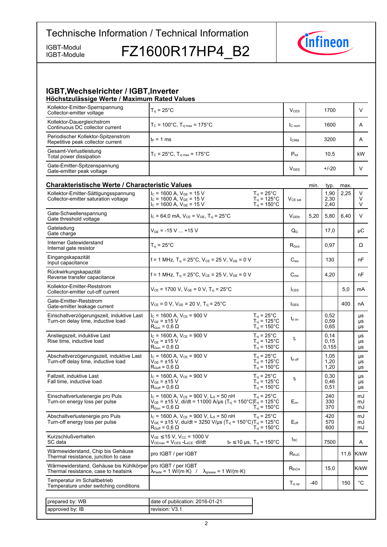IGBT-Module

IGBT-Module FZ1600R17HP4 B2



#### **IGBT, Wechselrichter / IGBT, Inverter Höchstzulässige-Werte-/-Maximum-Rated-Values**

| Kollektor-Emitter-Sperrspannung<br>Collector-emitter voltage                    | $T_{\rm vj}$ = 25°C                                                                                                                                                                                                                                   | $V_{CES}$                  |      | 1700                   |      | V              |
|---------------------------------------------------------------------------------|-------------------------------------------------------------------------------------------------------------------------------------------------------------------------------------------------------------------------------------------------------|----------------------------|------|------------------------|------|----------------|
| Kollektor-Dauergleichstrom<br>Continuous DC collector current                   | $T_c = 100^{\circ}$ C, $T_{\text{vi max}} = 175^{\circ}$ C                                                                                                                                                                                            | lc <sub>nom</sub>          |      | 1600                   |      | A              |
| Periodischer Kollektor-Spitzenstrom<br>Repetitive peak collector current        | $t_P = 1$ ms                                                                                                                                                                                                                                          | <b>I</b> CRM               |      | 3200                   |      | A              |
| Gesamt-Verlustleistung<br>Total power dissipation                               | $T_c = 25^{\circ}C$ , $T_{\text{vi max}} = 175^{\circ}C$                                                                                                                                                                                              | $P_{\text{tot}}$           |      | 10,5                   |      | kW.            |
| Gate-Emitter-Spitzenspannung<br>Gate-emitter peak voltage                       |                                                                                                                                                                                                                                                       | $V_{\text{GES}}$           |      | $+/-20$                |      | V              |
| <b>Charakteristische Werte / Characteristic Values</b>                          |                                                                                                                                                                                                                                                       |                            | min. | typ.                   | max. |                |
| Kollektor-Emitter-Sättigungsspannung<br>Collector-emitter saturation voltage    | $I_c$ = 1600 A, $V_{GE}$ = 15 V<br>$T_{vi}$ = 25°C<br>$T_{\text{vj}}$ = 125°C<br>$I_C$ = 1600 A, $V_{GE}$ = 15 V<br>$T_{\text{vj}}$ = 150°C<br>$I_c$ = 1600 A, $V_{GE}$ = 15 V                                                                        | $V_{CE\ sat}$              |      | 1,90<br>2,30<br>2,40   | 2,25 | V<br>V<br>V    |
| Gate-Schwellenspannung<br>Gate threshold voltage                                | $I_c = 64.0$ mA, $V_{CE} = V_{GE}$ , $T_{vi} = 25^{\circ}$ C                                                                                                                                                                                          | V <sub>GEth</sub>          | 5,20 | 5,80                   | 6,40 | $\vee$         |
| Gateladung<br>Gate charge                                                       | $V_{GF}$ = -15 V  +15 V                                                                                                                                                                                                                               | $Q_{\rm G}$                |      | 17,0                   |      | μC             |
| Interner Gatewiderstand<br>Internal gate resistor                               | $T_{\rm vi}$ = 25 $^{\circ}$ C                                                                                                                                                                                                                        | $R_{\text{Gint}}$          |      | 0.97                   |      | Ω              |
| Eingangskapazität<br>Input capacitance                                          | f = 1 MHz, $T_{vi}$ = 25°C, $V_{CF}$ = 25 V, $V_{GF}$ = 0 V                                                                                                                                                                                           | $C_{\text{ies}}$           |      | 130                    |      | nF             |
| Rückwirkungskapazität<br>Reverse transfer capacitance                           | f = 1 MHz, $T_{vi}$ = 25°C, $V_{CE}$ = 25 V, $V_{GE}$ = 0 V                                                                                                                                                                                           | $C_{res}$                  |      | 4,20                   |      | nF             |
| Kollektor-Emitter-Reststrom<br>Collector-emitter cut-off current                | $V_{CE}$ = 1700 V, $V_{GE}$ = 0 V, $T_{vj}$ = 25°C                                                                                                                                                                                                    | $I_{\text{CES}}$           |      |                        | 5,0  | mA             |
| Gate-Emitter-Reststrom<br>Gate-emitter leakage current                          | $V_{CE} = 0 V$ , $V_{GE} = 20 V$ , $T_{vi} = 25^{\circ}C$                                                                                                                                                                                             | $I_{\text{GES}}$           |      |                        | 400  | nA             |
| Einschaltverzögerungszeit, induktive Last<br>Turn-on delay time, inductive load | $I_c$ = 1600 A, $V_{CE}$ = 900 V<br>$T_{vi}$ = 25°C<br>$T_{vi}$ = 125°C<br>$V_{GF}$ = ±15 $V$<br>$T_{\text{vj}}$ = 150°C<br>$\mathsf{R}_{\mathsf{Gon}}$ = 0,6 $\Omega$                                                                                | $t_{d \text{ on}}$         |      | 0.52<br>0,59<br>0,65   |      | μs<br>μs<br>μs |
| Anstiegszeit, induktive Last<br>Rise time, inductive load                       | $I_C$ = 1600 A, $V_{CE}$ = 900 V<br>$T_{vi}$ = 25°C<br>$T_{vi}$ = 125°C<br>$V_{GF}$ = ±15 V<br>$T_{\text{vj}}$ = 150°C<br>$R_{\text{Gon}}$ = 0.6 $\Omega$                                                                                             | $t_{r}$                    |      | 0,14<br>0, 15<br>0.155 |      | μs<br>μs<br>μs |
| Abschaltverzögerungszeit, induktive Last<br>Turn-off delay time, inductive load | $I_C$ = 1600 A, $V_{CE}$ = 900 V<br>$T_{\rm vj}$ = 25°C<br>$T_{\text{vj}} = 125^{\circ} \text{C}$<br>$\rm V_{GE}$ = ±15 $\rm V$<br>$T_{\rm vj} = 150^{\circ}$ C<br>$R_{Goff} = 0.6 \Omega$                                                            | $t_{\text{d off}}$         |      | 1,05<br>1,20<br>1,20   |      | μs<br>μs<br>μs |
| Fallzeit, induktive Last<br>Fall time, inductive load                           | $I_c$ = 1600 A, $V_{CE}$ = 900 V<br>$T_{vi}$ = 25 $^{\circ}$ C<br>$V_{GE} = \pm 15 \text{ V}$<br>$T_{vi}$ = 125°C<br>$R_{Goff} = 0.6 \Omega$<br>$T_{vi}$ = 150 $^{\circ}$ C                                                                           | t                          |      | 0,30<br>0,46<br>0,51   |      | μs<br>μs<br>μs |
| Einschaltverlustenergie pro Puls<br>Turn-on energy loss per pulse               | $I_c$ = 1600 A, $V_{CE}$ = 900 V, L <sub>S</sub> = 50 nH<br>$T_{vi}$ = 25°C<br>$V_{GE}$ = ±15 V, di/dt = 11000 A/µs (T <sub>vj</sub> = 150°C)T <sub>vj</sub> = 125°C<br>$T_{vi}$ = 150 $^{\circ}$ C<br>$\mathsf{R}_{\mathsf{Gon}}$ = 0,6 $\Omega$     | $\mathsf{E}_{\mathsf{on}}$ |      | 240<br>330<br>370      |      | mJ<br>mJ<br>mJ |
| Abschaltverlustenergie pro Puls<br>Turn-off energy loss per pulse               | $I_c$ = 1600 A, $V_{CE}$ = 900 V, L <sub>s</sub> = 50 nH<br>$T_{\rm vj}$ = 25°C<br>$V_{GE}$ = ±15 V, du/dt = 3250 V/µs (T <sub>vj</sub> = 150°C)T <sub>vj</sub> = 125°C<br>$T_{vi}$ = 150 $^{\circ}$ C<br>$\mathsf{R}_{\mathsf{Goff}}$ = 0.6 $\Omega$ | $E_{\text{off}}$           |      | 420<br>570<br>600      |      | mJ<br>mJ<br>mJ |
| Kurzschlußverhalten<br>SC data                                                  | $V_{GE}$ $\leq$ 15 V, V <sub>CC</sub> = 1000 V<br>$t_P \le 10 \text{ }\mu\text{s}, T_{vi} = 150^{\circ}\text{C}$<br>Vcemax = Vces -Lsce ·di/dt                                                                                                        | $I_{SC}$                   |      | 7500                   |      | A              |
| Wärmewiderstand, Chip bis Gehäuse<br>Thermal resistance, junction to case       | pro IGBT / per IGBT                                                                                                                                                                                                                                   | $R_{thJC}$                 |      |                        |      | 11,6 K/kW      |
| Wärmewiderstand, Gehäuse bis Kühlkörper<br>Thermal resistance, case to heatsink | pro IGBT / per IGBT<br>$\lambda_{\text{Paste}} = 1 \text{ W/(m} \cdot \text{K)}$ /<br>$\lambda_{\text{grease}} = 1 \text{ W/(m·K)}$                                                                                                                   | $R_{thCH}$                 |      | 15,0                   |      | K/kW           |
| Temperatur im Schaltbetrieb<br>Temperature under switching conditions           |                                                                                                                                                                                                                                                       | $T_{\text{vj op}}$         | -40  |                        | 150  | $^{\circ}$ C   |
|                                                                                 |                                                                                                                                                                                                                                                       |                            |      |                        |      |                |
| prepared by: WB                                                                 | date of publication: 2016-01-21                                                                                                                                                                                                                       |                            |      |                        |      |                |
| approved by: IB                                                                 | revision: V3.1                                                                                                                                                                                                                                        |                            |      |                        |      |                |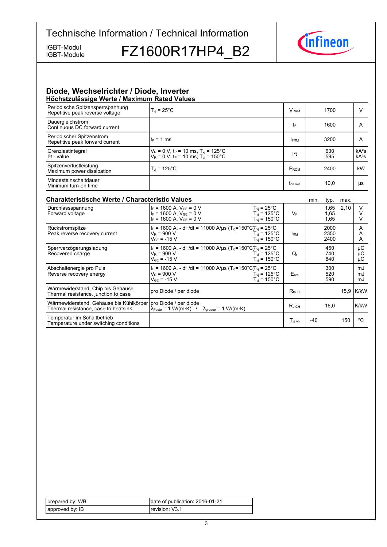IGBT-Module

IGBT-Module FZ1600R17HP4\_B2



#### **Diode,-Wechselrichter-/-Diode,-Inverter Höchstzulässige-Werte-/-Maximum-Rated-Values**

| $T_{vi}$ = 25 $^{\circ}$ C                                                                                            | <b>V</b> <sub>RRM</sub> | 1700       |                    |
|-----------------------------------------------------------------------------------------------------------------------|-------------------------|------------|--------------------|
|                                                                                                                       | I۴                      | 1600       | A                  |
| $t_P = 1$ ms                                                                                                          | <b>FRM</b>              | 3200       | A                  |
| $V_R = 0$ V, t <sub>P</sub> = 10 ms, T <sub>vj</sub> = 125°C<br>$V_R = 0 V$ , $t_P = 10$ ms, $T_{vi} = 150^{\circ}$ C | $12$ t                  | 630<br>595 | $kA^2s$<br>$kA^2s$ |
| $T_{vi}$ = 125 $^{\circ}$ C                                                                                           | P <sub>RQM</sub>        | 2400       | kW                 |
|                                                                                                                       | <b>Ton min</b>          | 10,0       | μs                 |
|                                                                                                                       |                         |            |                    |

| <b>Charakteristische Werte / Characteristic Values</b><br>min.                                          |                                                                                                                                                                                                          |                              |       | typ.                 | max. |                |
|---------------------------------------------------------------------------------------------------------|----------------------------------------------------------------------------------------------------------------------------------------------------------------------------------------------------------|------------------------------|-------|----------------------|------|----------------|
| Durchlassspannung<br>Forward voltage                                                                    | $I_F$ = 1600 A, $V_{GE}$ = 0 V<br>$T_{vi}$ = 25°C<br>$I_F = 1600$ A, $V_{GE} = 0$ V<br>$T_{\text{vi}}$ = 125°C<br>$I_F = 1600$ A. $V_{GE} = 0$ V<br>$T_{\rm vi}$ = 150°C.                                | $V_F$                        |       | 1,65<br>1,65<br>1,65 | 2,10 |                |
| Rückstromspitze<br>Peak reverse recovery current                                                        | $I_F = 1600$ A, - dir/dt = 11000 A/us (T <sub>vi</sub> =150°C)T <sub>vi</sub> = 25°C<br>$V_R$ = 900 V<br>$T_{\rm vi}$ = 125°C.<br>$T_{\rm vi}$ = 150°C.<br>$V_{GF}$ = -15 V                              | <b>IRM</b>                   |       | 2000<br>2350<br>2400 |      | A<br>A<br>A    |
| Sperrverzögerungsladung<br>Recovered charge                                                             | $I_F = 1600$ A, - dir/dt = 11000 A/us (T <sub>vi</sub> =150°C)T <sub>vi</sub> = 25°C<br>$V_{\rm R}$ = 900 V<br>$T_{\rm vi}$ = 125°C.<br>$V_{GF}$ = -15 V<br>$T_{vi}$ = 150 $^{\circ}$ C                  | Q,                           |       | 450<br>740<br>840    |      | μC<br>μC<br>μC |
| Abschaltenergie pro Puls<br>Reverse recovery energy                                                     | $I_F = 1600$ A, - di <sub>F</sub> /dt = 11000 A/us (T <sub>vi</sub> =150°C)T <sub>vi</sub> = 25°C<br>$V_{\rm R}$ = 900 V<br>$T_{\rm vi}$ = 125°C.<br>$V_{GF} = -15 V$<br>$T_{\rm vi}$ = 150 $^{\circ}$ C | $E_{rec}$                    |       | 300<br>520<br>590    |      | mJ<br>mJ<br>mJ |
| Wärmewiderstand, Chip bis Gehäuse<br>Thermal resistance, junction to case                               | pro Diode / per diode                                                                                                                                                                                    | $R_{thJC}$                   |       |                      |      | 15,9 K/kW      |
| Wärmewiderstand, Gehäuse bis Kühlkörper   pro Diode / per diode<br>Thermal resistance, case to heatsink | $\lambda_{\text{Paste}} = 1 \text{ W/(m} \cdot \text{K)}$ / $\lambda_{\text{grease}} = 1 \text{ W/(m} \cdot \text{K)}$                                                                                   | $R_{thCH}$                   |       | 16.0                 |      | <b>IK/kW</b>   |
| Temperatur im Schaltbetrieb<br>Temperature under switching conditions                                   |                                                                                                                                                                                                          | $\mathsf{T}_\mathsf{vi\ op}$ | $-40$ |                      | 150  | °€             |

| prepared by: WB | date of publication: 2016-01-21 |
|-----------------|---------------------------------|
| approved by: IB | revision: V3.1                  |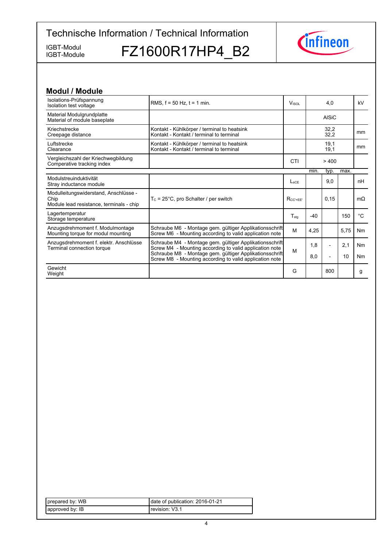IGBT-Module

IGBT-Module FZ1600R17HP4\_B2



| <b>Modul / Module</b>                                                                     |                                                                                                                    |                  |       |                          |      |           |
|-------------------------------------------------------------------------------------------|--------------------------------------------------------------------------------------------------------------------|------------------|-------|--------------------------|------|-----------|
| Isolations-Prüfspannung<br>Isolation test voltage                                         | RMS, $f = 50$ Hz, $t = 1$ min.                                                                                     | Visol            |       | 4.0                      |      | kV        |
| Material Modulgrundplatte<br>Material of module baseplate                                 |                                                                                                                    |                  |       | <b>AISiC</b>             |      |           |
| Kriechstrecke<br>Creepage distance                                                        | Kontakt - Kühlkörper / terminal to heatsink<br>Kontakt - Kontakt / terminal to terminal                            |                  |       | 32,2<br>32,2             |      | mm        |
| Luftstrecke<br>Clearance                                                                  | Kontakt - Kühlkörper / terminal to heatsink<br>Kontakt - Kontakt / terminal to terminal                            |                  |       | 19,1<br>19,1             |      | mm        |
| Vergleichszahl der Kriechwegbildung<br>Comperative tracking index                         |                                                                                                                    | CTI              |       | > 400                    |      |           |
|                                                                                           |                                                                                                                    |                  | min.  | typ.                     | max. |           |
| Modulstreuinduktivität<br>Stray inductance module                                         |                                                                                                                    | $L_{SCE}$        |       | 9,0                      |      | nH        |
| Modulleitungswiderstand, Anschlüsse -<br>Chip<br>Module lead resistance, terminals - chip | $T_c = 25^{\circ}$ C, pro Schalter / per switch                                                                    | $R_{CC'+EE'}$    |       | 0, 15                    |      | $m\Omega$ |
| Lagertemperatur<br>Storage temperature                                                    |                                                                                                                    | $T_{\text{stg}}$ | $-40$ |                          | 150  | °C        |
| Anzugsdrehmoment f. Modulmontage<br>Mounting torque for modul mounting                    | Schraube M6 - Montage gem. gültiger Applikationsschrift<br>Screw M6 - Mounting according to valid application note | M                | 4.25  |                          | 5,75 | Nm        |
| Anzugsdrehmoment f. elektr. Anschlüsse<br>Terminal connection torque                      | Schraube M4 - Montage gem. gültiger Applikationsschrift<br>Screw M4 - Mounting according to valid application note | M                | 1.8   | $\overline{\phantom{a}}$ | 2,1  | Nm        |
|                                                                                           | Schraube M8 - Montage gem. gültiger Applikationsschrift<br>Screw M8 - Mounting according to valid application note |                  | 8,0   | $\overline{a}$           | 10   | Nm        |
| Gewicht<br>Weight                                                                         |                                                                                                                    | G                |       | 800                      |      | g         |

| prepared by: WB  | date of publication: 2016-01-21 |
|------------------|---------------------------------|
| Lapproved by: IB | Trevision: V3.1                 |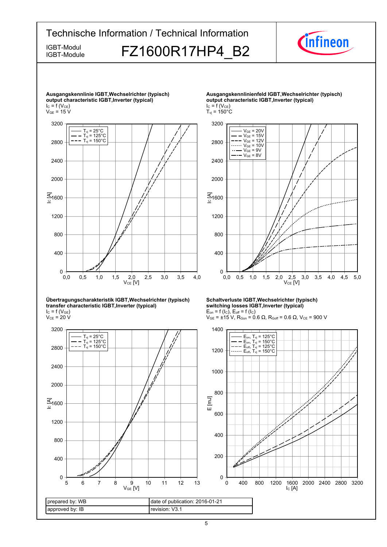

#### **Übertragungscharakteristik-IGBT,Wechselrichter-(typisch) transfer-characteristic-IGBT,Inverter-(typical)**

 $I_{C}$  = f (V<sub>GE</sub>)  $\rm V_{CE}$  = 20 V

![](_page_4_Figure_3.jpeg)

**Schaltverluste-IGBT,Wechselrichter-(typisch) switching-losses-IGBT,Inverter-(typical)**  $E_{on}$  = f (l<sub>C</sub>),  $E_{off}$  = f (l<sub>C</sub>)

 $V_{GE}$  = ±15 V, R<sub>Gon</sub> = 0.6 Ω, R<sub>Goff</sub> = 0.6 Ω, V<sub>CE</sub> = 900 V

![](_page_4_Figure_6.jpeg)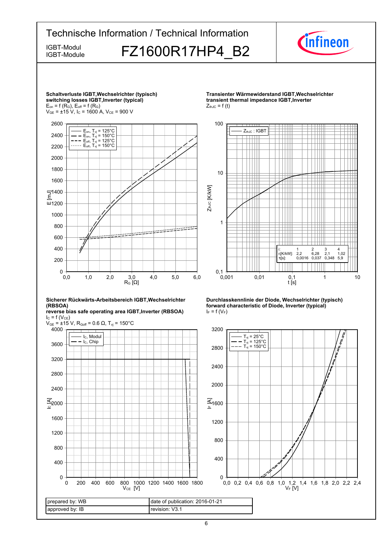![](_page_5_Figure_0.jpeg)

6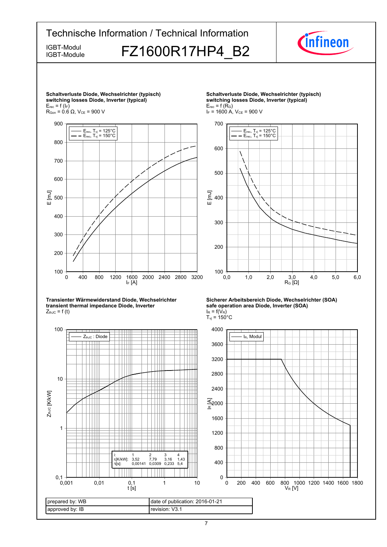![](_page_6_Figure_0.jpeg)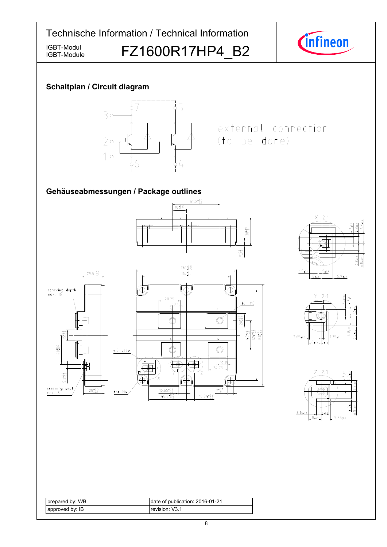![](_page_7_Figure_0.jpeg)